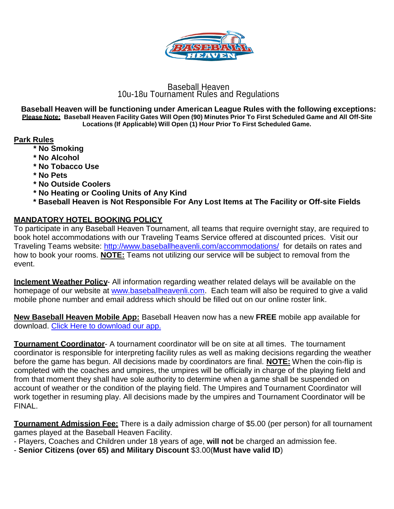

## Baseball Heaven 10u-18u Tournament Rules and Regulations

**Baseball Heaven will be functioning under American League Rules with the following exceptions:** Please Note: Baseball Heaven Facility Gates Will Open (90) Minutes Prior To First Scheduled Game and All Off-Site **Locations (If Applicable) Will Open (1) Hour Prior To First Scheduled Game.**

## **Park Rules**

- **\* No Smoking**
- **\* No Alcohol**
- **\* No Tobacco Use**
- **\* No Pets**
- **\* No Outside Coolers**
- **\* No Heating or Cooling Units of Any Kind**
- **\* Baseball Heaven is Not Responsible For Any Lost Items at The Facility or Off-site Fields**

# **MANDATORY HOTEL BOOKING POLICY**

To participate in any Baseball Heaven Tournament, all teams that require overnight stay, are required to book hotel accommodations with our Traveling Teams Service offered at discounted prices. Visit our Traveling Teams website:<http://www.baseballheavenli.com/accommodations/> for details on rates and how to book your rooms. **NOTE:** Teams not utilizing our service will be subject to removal from the event.

**Inclement Weather Policy**- All information regarding weather related delays will be available on the homepage of our website at [www.baseballheavenli.com.](http://www.baseballheavenli.com/) Each team will also be required to give a valid mobile phone number and email address which should be filled out on our online roster link.

**New Baseball Heaven Mobile App:** Baseball Heaven now has a new **FREE** mobile app available for download. [Click Here to download our app.](https://www.baseballheavenli.com/mobileapp/)

**Tournament Coordinator**- A tournament coordinator will be on site at all times. The tournament coordinator is responsible for interpreting facility rules as well as making decisions regarding the weather before the game has begun. All decisions made by coordinators are final. **NOTE:** When the coin-flip is completed with the coaches and umpires, the umpires will be officially in charge of the playing field and from that moment they shall have sole authority to determine when a game shall be suspended on account of weather or the condition of the playing field. The Umpires and Tournament Coordinator will work together in resuming play. All decisions made by the umpires and Tournament Coordinator will be FINAL.

**Tournament Admission Fee:** There is a daily admission charge of \$5.00 (per person) for all tournament games played at the Baseball Heaven Facility.

- Players, Coaches and Children under 18 years of age, **will not** be charged an admission fee.

- **Senior Citizens (over 65) and Military Discount** \$3.00(**Must have valid ID**)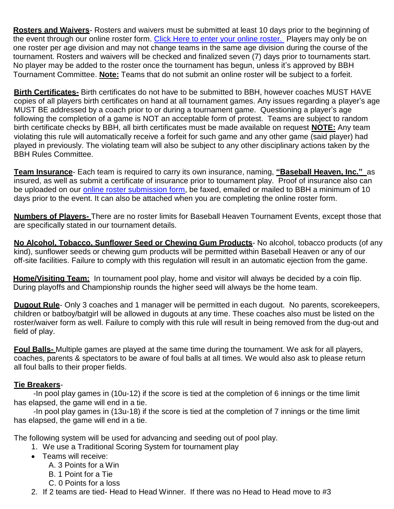**Rosters and Waivers**- Rosters and waivers must be submitted at least 10 days prior to the beginning of the event through our online roster form. [Click Here to enter your online roster.](https://baseballheaven.wufoo.com/forms/2015-baseball-heaven-8u-18u-roster-submission/) Players may only be on one roster per age division and may not change teams in the same age division during the course of the tournament. Rosters and waivers will be checked and finalized seven (7) days prior to tournaments start. No player may be added to the roster once the tournament has begun, unless it's approved by BBH Tournament Committee. **Note:** Teams that do not submit an online roster will be subject to a forfeit.

**Birth Certificates-** Birth certificates do not have to be submitted to BBH, however coaches MUST HAVE copies of all players birth certificates on hand at all tournament games. Any issues regarding a player's age MUST BE addressed by a coach prior to or during a tournament game. Questioning a player's age following the completion of a game is NOT an acceptable form of protest. Teams are subject to random birth certificate checks by BBH, all birth certificates must be made available on request **NOTE:** Any team violating this rule will automatically receive a forfeit for such game and any other game (said player) had played in previously. The violating team will also be subject to any other disciplinary actions taken by the BBH Rules Committee.

**Team Insurance**- Each team is required to carry its own insurance, naming, **"Baseball Heaven, Inc."** as insured, as well as submit a certificate of insurance prior to tournament play. Proof of insurance also can be uploaded on our [online roster submission form,](https://baseballheaven.wufoo.com/forms/2015-baseball-heaven-8u-18u-roster-submission/) be faxed, emailed or mailed to BBH a minimum of 10 days prior to the event. It can also be attached when you are completing the online roster form.

**Numbers of Players-** There are no roster limits for Baseball Heaven Tournament Events, except those that are specifically stated in our tournament details.

**No Alcohol, Tobacco, Sunflower Seed or Chewing Gum Products**- No alcohol, tobacco products (of any kind), sunflower seeds or chewing gum products will be permitted within Baseball Heaven or any of our off-site facilities. Failure to comply with this regulation will result in an automatic ejection from the game.

**Home/Visiting Team:** In tournament pool play, home and visitor will always be decided by a coin flip. During playoffs and Championship rounds the higher seed will always be the home team.

**Dugout Rule**- Only 3 coaches and 1 manager will be permitted in each dugout. No parents, scorekeepers, children or batboy/batgirl will be allowed in dugouts at any time. These coaches also must be listed on the roster/waiver form as well. Failure to comply with this rule will result in being removed from the dug-out and field of play.

**Foul Balls-** Multiple games are played at the same time during the tournament. We ask for all players, coaches, parents & spectators to be aware of foul balls at all times. We would also ask to please return all foul balls to their proper fields.

# **Tie Breakers**-

-In pool play games in (10u-12) if the score is tied at the completion of 6 innings or the time limit has elapsed, the game will end in a tie.

-In pool play games in (13u-18) if the score is tied at the completion of 7 innings or the time limit has elapsed, the game will end in a tie.

The following system will be used for advancing and seeding out of pool play.

- 1. We use a Traditional Scoring System for tournament play
- Teams will receive:
	- A. 3 Points for a Win
	- B. 1 Point for a Tie
	- C. 0 Points for a loss
- 2. If 2 teams are tied- Head to Head Winner. If there was no Head to Head move to #3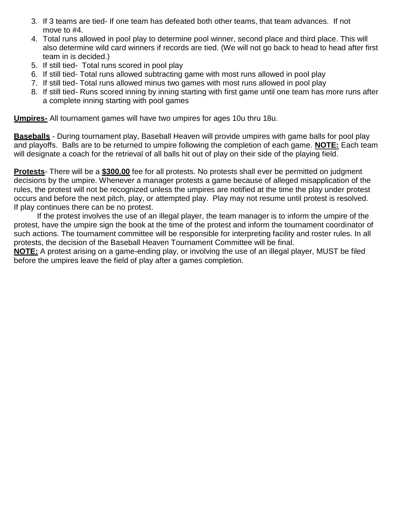- 3. If 3 teams are tied- If one team has defeated both other teams, that team advances. If not move to #4.
- 4. Total runs allowed in pool play to determine pool winner, second place and third place. This will also determine wild card winners if records are tied. (We will not go back to head to head after first team in is decided.)
- 5. If still tied- Total runs scored in pool play
- 6. If still tied- Total runs allowed subtracting game with most runs allowed in pool play
- 7. If still tied- Total runs allowed minus two games with most runs allowed in pool play
- 8. If still tied- Runs scored inning by inning starting with first game until one team has more runs after a complete inning starting with pool games

**Umpires-** All tournament games will have two umpires for ages 10u thru 18u.

**Baseballs** - During tournament play, Baseball Heaven will provide umpires with game balls for pool play and playoffs. Balls are to be returned to umpire following the completion of each game. **NOTE:** Each team will designate a coach for the retrieval of all balls hit out of play on their side of the playing field.

**Protests**- There will be a **\$300.00** fee for all protests. No protests shall ever be permitted on judgment decisions by the umpire. Whenever a manager protests a game because of alleged misapplication of the rules, the protest will not be recognized unless the umpires are notified at the time the play under protest occurs and before the next pitch, play, or attempted play. Play may not resume until protest is resolved. If play continues there can be no protest.

If the protest involves the use of an illegal player, the team manager is to inform the umpire of the protest, have the umpire sign the book at the time of the protest and inform the tournament coordinator of such actions. The tournament committee will be responsible for interpreting facility and roster rules. In all protests, the decision of the Baseball Heaven Tournament Committee will be final.

**NOTE:** A protest arising on a game-ending play, or involving the use of an illegal player, MUST be filed before the umpires leave the field of play after a games completion.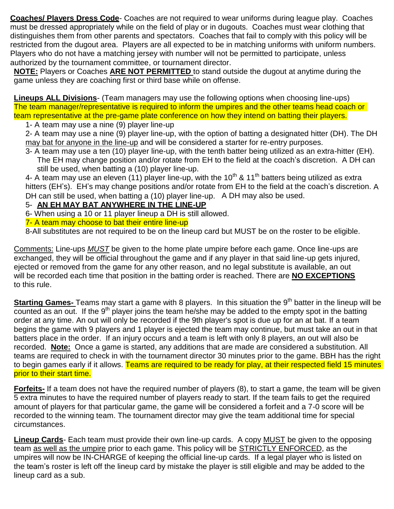**Coaches/ Players Dress Code**- Coaches are not required to wear uniforms during league play. Coaches must be dressed appropriately while on the field of play or in dugouts. Coaches must wear clothing that distinguishes them from other parents and spectators. Coaches that fail to comply with this policy will be restricted from the dugout area. Players are all expected to be in matching uniforms with uniform numbers. Players who do not have a matching jersey with number will not be permitted to participate, unless authorized by the tournament committee, or tournament director.

**NOTE:** Players or Coaches **ARE NOT PERMITTED** to stand outside the dugout at anytime during the game unless they are coaching first or third base while on offense.

**Lineups ALL Divisions**- (Team managers may use the following options when choosing line-ups) The team manager/representative is required to inform the umpires and the other teams head coach or team representative at the pre-game plate conference on how they intend on batting their players.

1- A team may use a nine (9) player line-up

2- A team may use a nine (9) player line-up, with the option of batting a designated hitter (DH). The DH may bat for anyone in the line-up and will be considered a starter for re-entry purposes.

3- A team may use a ten (10) player line-up, with the tenth batter being utilized as an extra-hitter (EH). The EH may change position and/or rotate from EH to the field at the coach's discretion. A DH can still be used, when batting a (10) player line-up.

4- A team may use an eleven (11) player line-up, with the 10<sup>th</sup> & 11<sup>th</sup> batters being utilized as extra hitters (EH's). EH's may change positions and/or rotate from EH to the field at the coach's discretion. A DH can still be used, when batting a (10) player line-up. A DH may also be used.

# 5- **AN EH MAY BAT ANYWHERE IN THE LINE-UP**

6- When using a 10 or 11 player lineup a DH is still allowed.

7- A team may choose to bat their entire line-up

8-All substitutes are not required to be on the lineup card but MUST be on the roster to be eligible.

Comments: Line-ups *MUST* be given to the home plate umpire before each game. Once line-ups are exchanged, they will be official throughout the game and if any player in that said line-up gets injured, ejected or removed from the game for any other reason, and no legal substitute is available, an out will be recorded each time that position in the batting order is reached. There are **NO EXCEPTIONS** to this rule.

**Starting Games-** Teams may start a game with 8 players. In this situation the 9<sup>th</sup> batter in the lineup will be  $\overline{\text{counted}}$  as an out. If the 9<sup>th</sup> player joins the team he/she may be added to the empty spot in the batting order at any time. An out will only be recorded if the 9th player's spot is due up for an at bat. If a team begins the game with 9 players and 1 player is ejected the team may continue, but must take an out in that batters place in the order. If an injury occurs and a team is left with only 8 players, an out will also be recorded. **Note:** Once a game is started, any additions that are made are considered a substitution. All teams are required to check in with the tournament director 30 minutes prior to the game. BBH has the right to begin games early if it allows. Teams are required to be ready for play, at their respected field 15 minutes prior to their start time.

**Forfeits-** If a team does not have the required number of players (8), to start a game, the team will be given 5 extra minutes to have the required number of players ready to start. If the team fails to get the required amount of players for that particular game, the game will be considered a forfeit and a 7-0 score will be recorded to the winning team. The tournament director may give the team additional time for special circumstances.

**Lineup Cards**- Each team must provide their own line-up cards. A copy MUST be given to the opposing team as well as the umpire prior to each game. This policy will be **STRICTLY ENFORCED**, as the umpires will now be IN-CHARGE of keeping the official line-up cards. If a legal player who is listed on the team's roster is left off the lineup card by mistake the player is still eligible and may be added to the lineup card as a sub.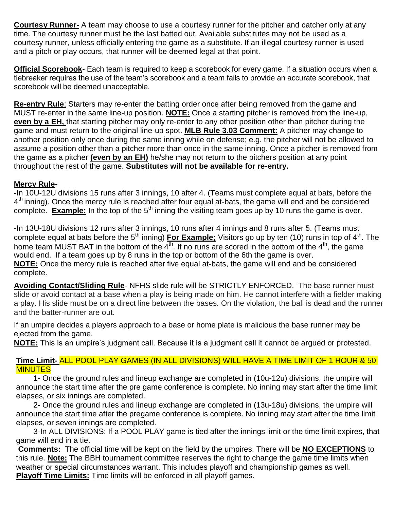**Courtesy Runner-** A team may choose to use a courtesy runner for the pitcher and catcher only at any time. The courtesy runner must be the last batted out. Available substitutes may not be used as a courtesy runner, unless officially entering the game as a substitute. If an illegal courtesy runner is used and a pitch or play occurs, that runner will be deemed legal at that point.

**Official Scorebook**- Each team is required to keep a scorebook for every game. If a situation occurs when a tiebreaker requires the use of the team's scorebook and a team fails to provide an accurate scorebook, that scorebook will be deemed unacceptable.

**Re-entry Rule**: Starters may re-enter the batting order once after being removed from the game and MUST re-enter in the same line-up position. **NOTE:** Once a starting pitcher is removed from the line-up, **even by a EH,** that starting pitcher may only re-enter to any other position other than pitcher during the game and must return to the original line-up spot. **MLB Rule 3.03 Comment:** A pitcher may change to another position only once during the same inning while on defense; e.g. the pitcher will not be allowed to assume a position other than a pitcher more than once in the same inning. Once a pitcher is removed from the game as a pitcher **(even by an EH)** he/she may not return to the pitchers position at any point throughout the rest of the game. **Substitutes will not be available for re-entry.**

## **Mercy Rule**-

-In 10U-12U divisions 15 runs after 3 innings, 10 after 4. (Teams must complete equal at bats, before the 4<sup>th</sup> inning). Once the mercy rule is reached after four equal at-bats, the game will end and be considered complete. **Example:** In the top of the 5<sup>th</sup> inning the visiting team goes up by 10 runs the game is over.

-In 13U-18U divisions 12 runs after 3 innings, 10 runs after 4 innings and 8 runs after 5. (Teams must complete equal at bats before the 5<sup>th</sup> inning) **For Example:** Visitors go up by ten (10) runs in top of 4<sup>th</sup>. The home team MUST BAT in the bottom of the  $4<sup>th</sup>$ . If no runs are scored in the bottom of the  $4<sup>th</sup>$ , the game would end. If a team goes up by 8 runs in the top or bottom of the 6th the game is over. **NOTE:** Once the mercy rule is reached after five equal at-bats, the game will end and be considered complete.

**Avoiding Contact/Sliding Rule**- NFHS slide rule will be STRICTLY ENFORCED. The base runner must slide or avoid contact at a base when a play is being made on him. He cannot interfere with a fielder making a play. His slide must be on a direct line between the bases. On the violation, the ball is dead and the runner and the batter-runner are out.

If an umpire decides a players approach to a base or home plate is malicious the base runner may be ejected from the game.

**NOTE:** This is an umpire's judgment call. Because it is a judgment call it cannot be argued or protested.

#### **Time Limit-** ALL POOL PLAY GAMES (IN ALL DIVISIONS) WILL HAVE A TIME LIMIT OF 1 HOUR & 50 **MINUTES**

1- Once the ground rules and lineup exchange are completed in (10u-12u) divisions, the umpire will announce the start time after the pre game conference is complete. No inning may start after the time limit elapses, or six innings are completed.

2- Once the ground rules and lineup exchange are completed in (13u-18u) divisions, the umpire will announce the start time after the pregame conference is complete. No inning may start after the time limit elapses, or seven innings are completed.

3-In ALL DIVISIONS: If a POOL PLAY game is tied after the innings limit or the time limit expires, that game will end in a tie.

**Comments:** The official time will be kept on the field by the umpires. There will be **NO EXCEPTIONS** to this rule. **Note:** The BBH tournament committee reserves the right to change the game time limits when weather or special circumstances warrant. This includes playoff and championship games as well. **Playoff Time Limits:** Time limits will be enforced in all playoff games.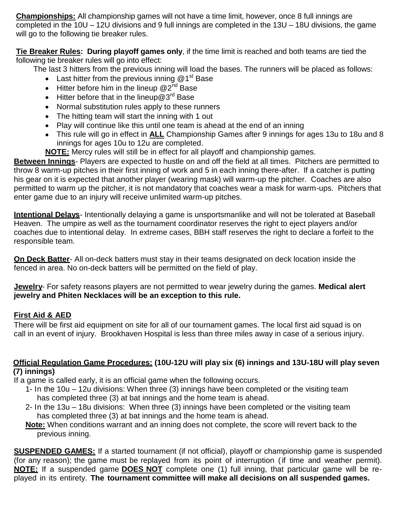**Championships:** All championship games will not have a time limit, however, once 8 full innings are completed in the 10U – 12U divisions and 9 full innings are completed in the 13U – 18U divisions, the game will go to the following tie breaker rules.

**Tie Breaker Rules: During playoff games only**, if the time limit is reached and both teams are tied the following tie breaker rules will go into effect:

The last 3 hitters from the previous inning will load the bases. The runners will be placed as follows:

- Last hitter from the previous inning  $@1<sup>st</sup>$  Base
- Hitter before him in the lineup  $@2^{\text{nd}}$  Base
- $\bullet$  Hitter before that in the lineup  $@3^{rd}$  Base
- Normal substitution rules apply to these runners
- The hitting team will start the inning with 1 out
- Play will continue like this until one team is ahead at the end of an inning
- This rule will go in effect in **ALL** Championship Games after 9 innings for ages 13u to 18u and 8 innings for ages 10u to 12u are completed.
- **NOTE:** Mercy rules will still be in effect for all playoff and championship games.

**Between Innings**- Players are expected to hustle on and off the field at all times. Pitchers are permitted to throw 8 warm-up pitches in their first inning of work and 5 in each inning there-after. If a catcher is putting his gear on it is expected that another player (wearing mask) will warm-up the pitcher. Coaches are also permitted to warm up the pitcher, it is not mandatory that coaches wear a mask for warm-ups. Pitchers that enter game due to an injury will receive unlimited warm-up pitches.

**Intentional Delays**- Intentionally delaying a game is unsportsmanlike and will not be tolerated at Baseball Heaven. The umpire as well as the tournament coordinator reserves the right to eject players and/or coaches due to intentional delay. In extreme cases, BBH staff reserves the right to declare a forfeit to the responsible team.

**On Deck Batter**- All on-deck batters must stay in their teams designated on deck location inside the fenced in area. No on-deck batters will be permitted on the field of play.

**Jewelry**- For safety reasons players are not permitted to wear jewelry during the games. **Medical alert jewelry and Phiten Necklaces will be an exception to this rule.**

# **First Aid & AED**

There will be first aid equipment on site for all of our tournament games. The local first aid squad is on call in an event of injury. Brookhaven Hospital is less than three miles away in case of a serious injury.

## **Official Regulation Game Procedures: (10U-12U will play six (6) innings and 13U-18U will play seven (7) innings)**

If a game is called early, it is an official game when the following occurs.

- 1- In the 10u 12u divisions: When three (3) innings have been completed or the visiting team has completed three (3) at bat innings and the home team is ahead.
- 2- In the 13u 18u divisions: When three (3) innings have been completed or the visiting team has completed three (3) at bat innings and the home team is ahead.
- **Note:** When conditions warrant and an inning does not complete, the score will revert back to the previous inning.

**SUSPENDED GAMES:** If a started tournament (if not official), playoff or championship game is suspended (for any reason); the game must be replayed from its point of interruption (if time and weather permit). **NOTE:** If a suspended game **DOES NOT** complete one (1) full inning, that particular game will be replayed in its entirety. **The tournament committee will make all decisions on all suspended games.**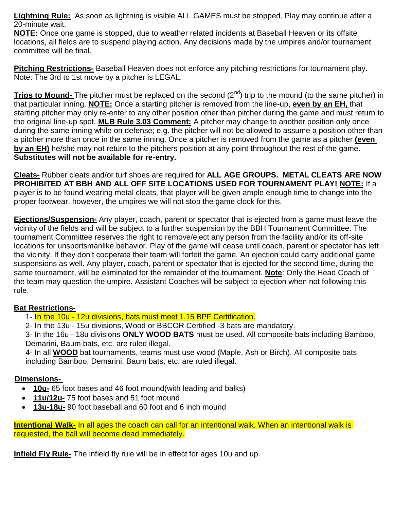**Lightning Rule:** As soon as lightning is visible ALL GAMES must be stopped. Play may continue after a 20-minute wait.

**NOTE:** Once one game is stopped, due to weather related incidents at Baseball Heaven or its offsite locations, all fields are to suspend playing action. Any decisions made by the umpires and/or tournament committee will be final.

**Pitching Restrictions-** Baseball Heaven does not enforce any pitching restrictions for tournament play. Note: The 3rd to 1st move by a pitcher is LEGAL.

**Trips to Mound-** The pitcher must be replaced on the second (2<sup>nd</sup>) trip to the mound (to the same pitcher) in that particular inning. **NOTE:** Once a starting pitcher is removed from the line-up, **even by an EH,** that starting pitcher may only re-enter to any other position other than pitcher during the game and must return to the original line-up spot. **MLB Rule 3.03 Comment:** A pitcher may change to another position only once during the same inning while on defense; e.g. the pitcher will not be allowed to assume a position other than a pitcher more than once in the same inning. Once a pitcher is removed from the game as a pitcher **(even by an EH)** he/she may not return to the pitchers position at any point throughout the rest of the game. **Substitutes will not be available for re-entry.**

**Cleats-** Rubber cleats and/or turf shoes are required for **ALL AGE GROUPS. METAL CLEATS ARE NOW PROHIBITED AT BBH AND ALL OFF SITE LOCATIONS USED FOR TOURNAMENT PLAY! NOTE:** If a player is to be found wearing metal cleats, that player will be given ample enough time to change into the proper footwear, however, the umpires we will not stop the game clock for this.

**Ejections/Suspension-** Any player, coach, parent or spectator that is ejected from a game must leave the vicinity of the fields and will be subject to a further suspension by the BBH Tournament Committee. The tournament Committee reserves the right to remove/eject any person from the facility and/or its off-site locations for unsportsmanlike behavior. Play of the game will cease until coach, parent or spectator has left the vicinity. If they don't cooperate their team will forfeit the game. An ejection could carry additional game suspensions as well. Any player, coach, parent or spectator that is ejected for the second time, during the same tournament, will be eliminated for the remainder of the tournament. **Note**: Only the Head Coach of the team may question the umpire. Assistant Coaches will be subject to ejection when not following this rule.

#### **Bat Restrictions-**

1- In the 10u - 12u divisions, bats must meet 1.15 BPF Certification.

2- In the 13u - 15u divisions, Wood or BBCOR Certified -3 bats are mandatory.

3- In the 16u - 18u divisions **ONLY WOOD BATS** must be used. All composite bats including Bamboo, Demarini, Baum bats, etc. are ruled illegal.

4- In all **WOOD** bat tournaments, teams must use wood (Maple, Ash or Birch). All composite bats including Bamboo, Demarini, Baum bats, etc. are ruled illegal.

# **Dimensions-**

- **10u-** 65 foot bases and 46 foot mound(with leading and balks)
- **11u/12u-** 75 foot bases and 51 foot mound
- **13u-18u-** 90 foot baseball and 60 foot and 6 inch mound

**Intentional Walk-** In all ages the coach can call for an intentional walk. When an intentional walk is requested, the ball will become dead immediately.

**Infield Fly Rule-** The infield fly rule will be in effect for ages 10u and up.